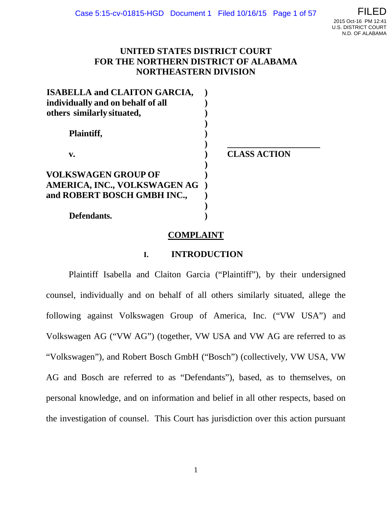## **UNITED STATES DISTRICT COURT FOR THE NORTHERN DISTRICT OF ALABAMA NORTHEASTERN DIVISION**

| <b>ISABELLA and CLAITON GARCIA,</b> |                     |
|-------------------------------------|---------------------|
| individually and on behalf of all   |                     |
| others similarly situated,          |                     |
| Plaintiff,                          |                     |
| v.                                  | <b>CLASS ACTION</b> |
| <b>VOLKSWAGEN GROUP OF</b>          |                     |
| AMERICA, INC., VOLKSWAGEN AG        |                     |
| and ROBERT BOSCH GMBH INC.,         |                     |
|                                     |                     |
| Defendants.                         |                     |

**COMPLAINT**

## **I. INTRODUCTION**

Plaintiff Isabella and Claiton Garcia ("Plaintiff"), by their undersigned counsel, individually and on behalf of all others similarly situated, allege the following against Volkswagen Group of America, Inc. ("VW USA") and Volkswagen AG ("VW AG") (together, VW USA and VW AG are referred to as "Volkswagen"), and Robert Bosch GmbH ("Bosch") (collectively, VW USA, VW AG and Bosch are referred to as "Defendants"), based, as to themselves, on personal knowledge, and on information and belief in all other respects, based on the investigation of counsel. This Court has jurisdiction over this action pursuant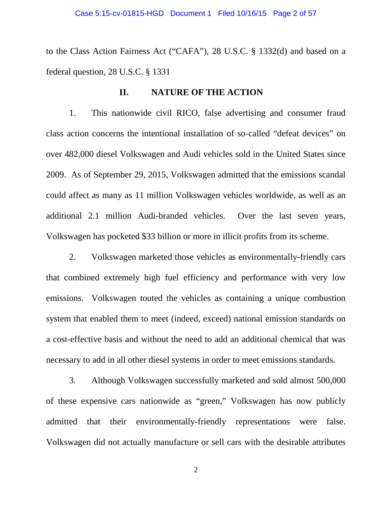to the Class Action Fairness Act ("CAFA"), 28 U.S.C. § 1332(d) and based on a federal question, 28 U.S.C. § 1331

### **II. NATURE OF THE ACTION**

1. This nationwide civil RICO, false advertising and consumer fraud class action concerns the intentional installation of so-called "defeat devices" on over 482,000 diesel Volkswagen and Audi vehicles sold in the United States since 2009. As of September 29, 2015, Volkswagen admitted that the emissions scandal could affect as many as 11 million Volkswagen vehicles worldwide, as well as an additional 2.1 million Audi-branded vehicles. Over the last seven years, Volkswagen has pocketed \$33 billion or more in illicit profits from its scheme.

2. Volkswagen marketed those vehicles as environmentally-friendly cars that combined extremely high fuel efficiency and performance with very low emissions. Volkswagen touted the vehicles as containing a unique combustion system that enabled them to meet (indeed, exceed) national emission standards on a cost-effective basis and without the need to add an additional chemical that was necessary to add in all other diesel systems in order to meet emissions standards.

3. Although Volkswagen successfully marketed and sold almost 500,000 of these expensive cars nationwide as "green," Volkswagen has now publicly admitted that their environmentally-friendly representations were false. Volkswagen did not actually manufacture or sell cars with the desirable attributes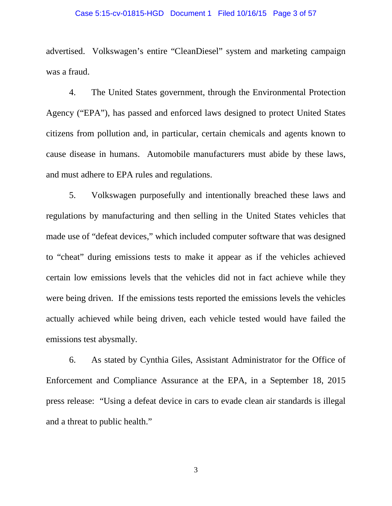### Case 5:15-cv-01815-HGD Document 1 Filed 10/16/15 Page 3 of 57

advertised. Volkswagen's entire "CleanDiesel" system and marketing campaign was a fraud.

4. The United States government, through the Environmental Protection Agency ("EPA"), has passed and enforced laws designed to protect United States citizens from pollution and, in particular, certain chemicals and agents known to cause disease in humans. Automobile manufacturers must abide by these laws, and must adhere to EPA rules and regulations.

5. Volkswagen purposefully and intentionally breached these laws and regulations by manufacturing and then selling in the United States vehicles that made use of "defeat devices," which included computer software that was designed to "cheat" during emissions tests to make it appear as if the vehicles achieved certain low emissions levels that the vehicles did not in fact achieve while they were being driven. If the emissions tests reported the emissions levels the vehicles actually achieved while being driven, each vehicle tested would have failed the emissions test abysmally.

6. As stated by Cynthia Giles, Assistant Administrator for the Office of Enforcement and Compliance Assurance at the EPA, in a September 18, 2015 press release: "Using a defeat device in cars to evade clean air standards is illegal and a threat to public health."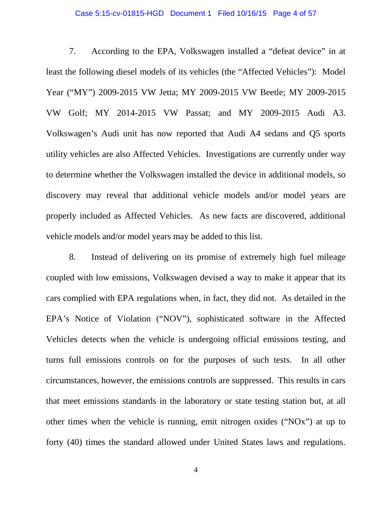### Case 5:15-cv-01815-HGD Document 1 Filed 10/16/15 Page 4 of 57

7. According to the EPA, Volkswagen installed a "defeat device" in at least the following diesel models of its vehicles (the "Affected Vehicles"): Model Year ("MY") 2009-2015 VW Jetta; MY 2009-2015 VW Beetle; MY 2009-2015 VW Golf; MY 2014-2015 VW Passat; and MY 2009-2015 Audi A3. Volkswagen's Audi unit has now reported that Audi A4 sedans and Q5 sports utility vehicles are also Affected Vehicles. Investigations are currently under way to determine whether the Volkswagen installed the device in additional models, so discovery may reveal that additional vehicle models and/or model years are properly included as Affected Vehicles. As new facts are discovered, additional vehicle models and/or model years may be added to this list.

8. Instead of delivering on its promise of extremely high fuel mileage coupled with low emissions, Volkswagen devised a way to make it appear that its cars complied with EPA regulations when, in fact, they did not. As detailed in the EPA's Notice of Violation ("NOV"), sophisticated software in the Affected Vehicles detects when the vehicle is undergoing official emissions testing, and turns full emissions controls on for the purposes of such tests. In all other circumstances, however, the emissions controls are suppressed. This results in cars that meet emissions standards in the laboratory or state testing station but, at all other times when the vehicle is running, emit nitrogen oxides ("NOx") at up to forty (40) times the standard allowed under United States laws and regulations.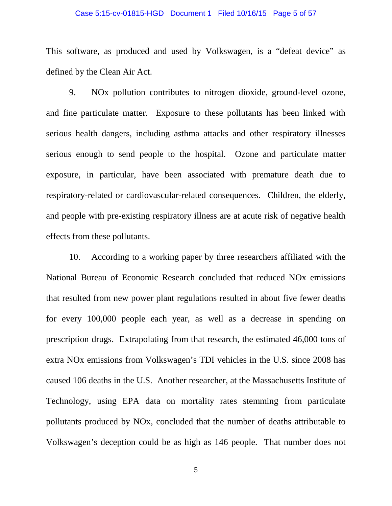### Case 5:15-cv-01815-HGD Document 1 Filed 10/16/15 Page 5 of 57

This software, as produced and used by Volkswagen, is a "defeat device" as defined by the Clean Air Act.

9. NOx pollution contributes to nitrogen dioxide, ground-level ozone, and fine particulate matter. Exposure to these pollutants has been linked with serious health dangers, including asthma attacks and other respiratory illnesses serious enough to send people to the hospital. Ozone and particulate matter exposure, in particular, have been associated with premature death due to respiratory-related or cardiovascular-related consequences. Children, the elderly, and people with pre-existing respiratory illness are at acute risk of negative health effects from these pollutants.

10. According to a working paper by three researchers affiliated with the National Bureau of Economic Research concluded that reduced NOx emissions that resulted from new power plant regulations resulted in about five fewer deaths for every 100,000 people each year, as well as a decrease in spending on prescription drugs. Extrapolating from that research, the estimated 46,000 tons of extra NOx emissions from Volkswagen's TDI vehicles in the U.S. since 2008 has caused 106 deaths in the U.S. Another researcher, at the Massachusetts Institute of Technology, using EPA data on mortality rates stemming from particulate pollutants produced by NOx, concluded that the number of deaths attributable to Volkswagen's deception could be as high as 146 people. That number does not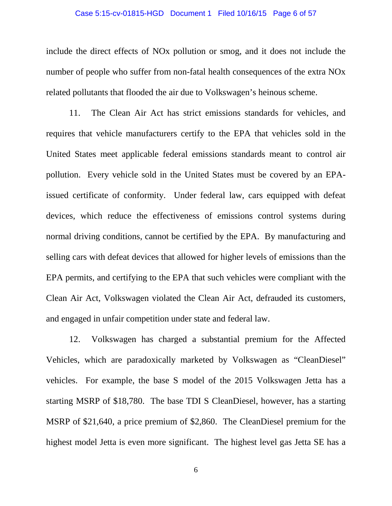#### Case 5:15-cv-01815-HGD Document 1 Filed 10/16/15 Page 6 of 57

include the direct effects of NOx pollution or smog, and it does not include the number of people who suffer from non-fatal health consequences of the extra NOx related pollutants that flooded the air due to Volkswagen's heinous scheme.

11. The Clean Air Act has strict emissions standards for vehicles, and requires that vehicle manufacturers certify to the EPA that vehicles sold in the United States meet applicable federal emissions standards meant to control air pollution. Every vehicle sold in the United States must be covered by an EPAissued certificate of conformity. Under federal law, cars equipped with defeat devices, which reduce the effectiveness of emissions control systems during normal driving conditions, cannot be certified by the EPA. By manufacturing and selling cars with defeat devices that allowed for higher levels of emissions than the EPA permits, and certifying to the EPA that such vehicles were compliant with the Clean Air Act, Volkswagen violated the Clean Air Act, defrauded its customers, and engaged in unfair competition under state and federal law.

12. Volkswagen has charged a substantial premium for the Affected Vehicles, which are paradoxically marketed by Volkswagen as "CleanDiesel" vehicles. For example, the base S model of the 2015 Volkswagen Jetta has a starting MSRP of \$18,780. The base TDI S CleanDiesel, however, has a starting MSRP of \$21,640, a price premium of \$2,860. The CleanDiesel premium for the highest model Jetta is even more significant. The highest level gas Jetta SE has a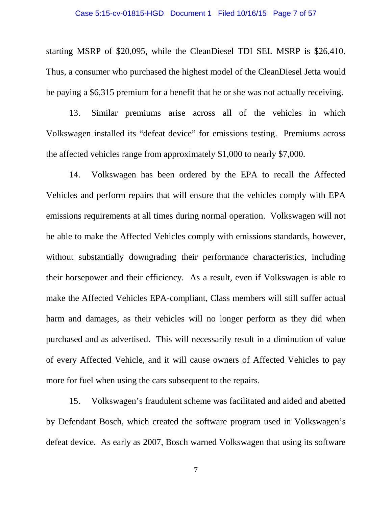### Case 5:15-cv-01815-HGD Document 1 Filed 10/16/15 Page 7 of 57

starting MSRP of \$20,095, while the CleanDiesel TDI SEL MSRP is \$26,410. Thus, a consumer who purchased the highest model of the CleanDiesel Jetta would be paying a \$6,315 premium for a benefit that he or she was not actually receiving.

13. Similar premiums arise across all of the vehicles in which Volkswagen installed its "defeat device" for emissions testing. Premiums across the affected vehicles range from approximately \$1,000 to nearly \$7,000.

14. Volkswagen has been ordered by the EPA to recall the Affected Vehicles and perform repairs that will ensure that the vehicles comply with EPA emissions requirements at all times during normal operation. Volkswagen will not be able to make the Affected Vehicles comply with emissions standards, however, without substantially downgrading their performance characteristics, including their horsepower and their efficiency. As a result, even if Volkswagen is able to make the Affected Vehicles EPA-compliant, Class members will still suffer actual harm and damages, as their vehicles will no longer perform as they did when purchased and as advertised. This will necessarily result in a diminution of value of every Affected Vehicle, and it will cause owners of Affected Vehicles to pay more for fuel when using the cars subsequent to the repairs.

15. Volkswagen's fraudulent scheme was facilitated and aided and abetted by Defendant Bosch, which created the software program used in Volkswagen's defeat device. As early as 2007, Bosch warned Volkswagen that using its software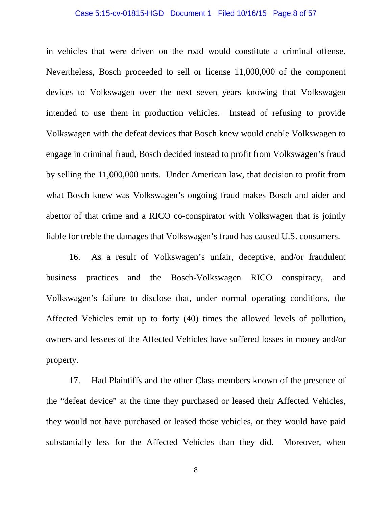### Case 5:15-cv-01815-HGD Document 1 Filed 10/16/15 Page 8 of 57

in vehicles that were driven on the road would constitute a criminal offense. Nevertheless, Bosch proceeded to sell or license 11,000,000 of the component devices to Volkswagen over the next seven years knowing that Volkswagen intended to use them in production vehicles. Instead of refusing to provide Volkswagen with the defeat devices that Bosch knew would enable Volkswagen to engage in criminal fraud, Bosch decided instead to profit from Volkswagen's fraud by selling the 11,000,000 units. Under American law, that decision to profit from what Bosch knew was Volkswagen's ongoing fraud makes Bosch and aider and abettor of that crime and a RICO co-conspirator with Volkswagen that is jointly liable for treble the damages that Volkswagen's fraud has caused U.S. consumers.

16. As a result of Volkswagen's unfair, deceptive, and/or fraudulent business practices and the Bosch-Volkswagen RICO conspiracy, and Volkswagen's failure to disclose that, under normal operating conditions, the Affected Vehicles emit up to forty (40) times the allowed levels of pollution, owners and lessees of the Affected Vehicles have suffered losses in money and/or property.

17. Had Plaintiffs and the other Class members known of the presence of the "defeat device" at the time they purchased or leased their Affected Vehicles, they would not have purchased or leased those vehicles, or they would have paid substantially less for the Affected Vehicles than they did. Moreover, when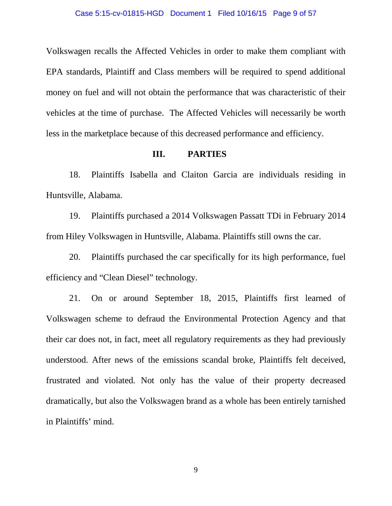Volkswagen recalls the Affected Vehicles in order to make them compliant with EPA standards, Plaintiff and Class members will be required to spend additional money on fuel and will not obtain the performance that was characteristic of their vehicles at the time of purchase. The Affected Vehicles will necessarily be worth less in the marketplace because of this decreased performance and efficiency.

### **III. PARTIES**

18. Plaintiffs Isabella and Claiton Garcia are individuals residing in Huntsville, Alabama.

19. Plaintiffs purchased a 2014 Volkswagen Passatt TDi in February 2014 from Hiley Volkswagen in Huntsville, Alabama. Plaintiffs still owns the car.

20. Plaintiffs purchased the car specifically for its high performance, fuel efficiency and "Clean Diesel" technology.

21. On or around September 18, 2015, Plaintiffs first learned of Volkswagen scheme to defraud the Environmental Protection Agency and that their car does not, in fact, meet all regulatory requirements as they had previously understood. After news of the emissions scandal broke, Plaintiffs felt deceived, frustrated and violated. Not only has the value of their property decreased dramatically, but also the Volkswagen brand as a whole has been entirely tarnished in Plaintiffs' mind.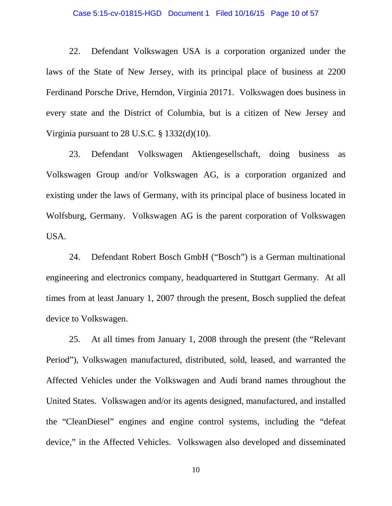### Case 5:15-cv-01815-HGD Document 1 Filed 10/16/15 Page 10 of 57

22. Defendant Volkswagen USA is a corporation organized under the laws of the State of New Jersey, with its principal place of business at 2200 Ferdinand Porsche Drive, Herndon, Virginia 20171. Volkswagen does business in every state and the District of Columbia, but is a citizen of New Jersey and Virginia pursuant to 28 U.S.C. § 1332(d)(10).

23. Defendant Volkswagen Aktiengesellschaft, doing business as Volkswagen Group and/or Volkswagen AG, is a corporation organized and existing under the laws of Germany, with its principal place of business located in Wolfsburg, Germany. Volkswagen AG is the parent corporation of Volkswagen USA.

24. Defendant Robert Bosch GmbH ("Bosch") is a German multinational engineering and electronics company, headquartered in Stuttgart Germany. At all times from at least January 1, 2007 through the present, Bosch supplied the defeat device to Volkswagen.

25. At all times from January 1, 2008 through the present (the "Relevant Period"), Volkswagen manufactured, distributed, sold, leased, and warranted the Affected Vehicles under the Volkswagen and Audi brand names throughout the United States. Volkswagen and/or its agents designed, manufactured, and installed the "CleanDiesel" engines and engine control systems, including the "defeat device," in the Affected Vehicles. Volkswagen also developed and disseminated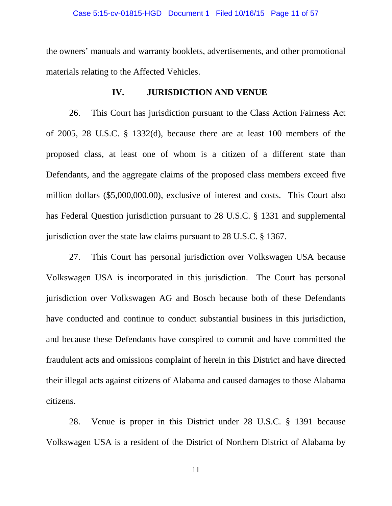### Case 5:15-cv-01815-HGD Document 1 Filed 10/16/15 Page 11 of 57

the owners' manuals and warranty booklets, advertisements, and other promotional materials relating to the Affected Vehicles.

### **IV. JURISDICTION AND VENUE**

26. This Court has jurisdiction pursuant to the Class Action Fairness Act of 2005, 28 U.S.C. § 1332(d), because there are at least 100 members of the proposed class, at least one of whom is a citizen of a different state than Defendants, and the aggregate claims of the proposed class members exceed five million dollars (\$5,000,000.00), exclusive of interest and costs. This Court also has Federal Question jurisdiction pursuant to 28 U.S.C. § 1331 and supplemental jurisdiction over the state law claims pursuant to 28 U.S.C. § 1367.

27. This Court has personal jurisdiction over Volkswagen USA because Volkswagen USA is incorporated in this jurisdiction. The Court has personal jurisdiction over Volkswagen AG and Bosch because both of these Defendants have conducted and continue to conduct substantial business in this jurisdiction, and because these Defendants have conspired to commit and have committed the fraudulent acts and omissions complaint of herein in this District and have directed their illegal acts against citizens of Alabama and caused damages to those Alabama citizens.

28. Venue is proper in this District under 28 U.S.C. § 1391 because Volkswagen USA is a resident of the District of Northern District of Alabama by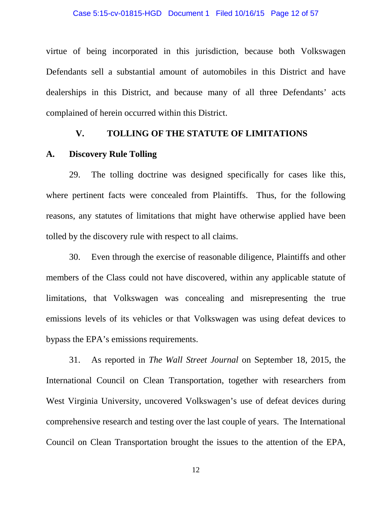virtue of being incorporated in this jurisdiction, because both Volkswagen Defendants sell a substantial amount of automobiles in this District and have dealerships in this District, and because many of all three Defendants' acts complained of herein occurred within this District.

### **V. TOLLING OF THE STATUTE OF LIMITATIONS**

### **A. Discovery Rule Tolling**

29. The tolling doctrine was designed specifically for cases like this, where pertinent facts were concealed from Plaintiffs. Thus, for the following reasons, any statutes of limitations that might have otherwise applied have been tolled by the discovery rule with respect to all claims.

30. Even through the exercise of reasonable diligence, Plaintiffs and other members of the Class could not have discovered, within any applicable statute of limitations, that Volkswagen was concealing and misrepresenting the true emissions levels of its vehicles or that Volkswagen was using defeat devices to bypass the EPA's emissions requirements.

31. As reported in *The Wall Street Journal* on September 18, 2015, the International Council on Clean Transportation, together with researchers from West Virginia University, uncovered Volkswagen's use of defeat devices during comprehensive research and testing over the last couple of years. The International Council on Clean Transportation brought the issues to the attention of the EPA,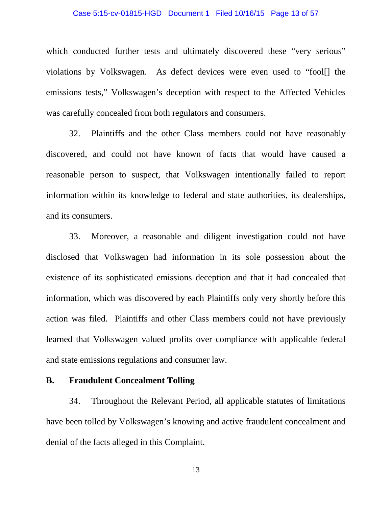### Case 5:15-cv-01815-HGD Document 1 Filed 10/16/15 Page 13 of 57

which conducted further tests and ultimately discovered these "very serious" violations by Volkswagen. As defect devices were even used to "fool[] the emissions tests," Volkswagen's deception with respect to the Affected Vehicles was carefully concealed from both regulators and consumers.

32. Plaintiffs and the other Class members could not have reasonably discovered, and could not have known of facts that would have caused a reasonable person to suspect, that Volkswagen intentionally failed to report information within its knowledge to federal and state authorities, its dealerships, and its consumers.

33. Moreover, a reasonable and diligent investigation could not have disclosed that Volkswagen had information in its sole possession about the existence of its sophisticated emissions deception and that it had concealed that information, which was discovered by each Plaintiffs only very shortly before this action was filed. Plaintiffs and other Class members could not have previously learned that Volkswagen valued profits over compliance with applicable federal and state emissions regulations and consumer law.

### **B. Fraudulent Concealment Tolling**

34. Throughout the Relevant Period, all applicable statutes of limitations have been tolled by Volkswagen's knowing and active fraudulent concealment and denial of the facts alleged in this Complaint.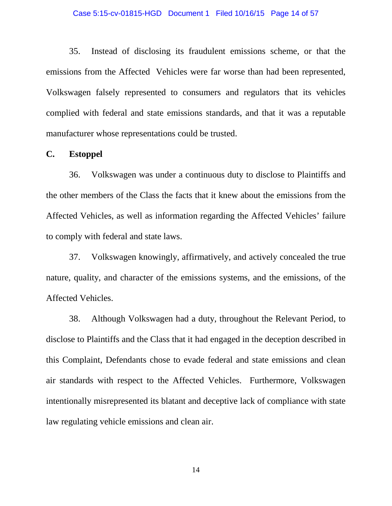### Case 5:15-cv-01815-HGD Document 1 Filed 10/16/15 Page 14 of 57

35. Instead of disclosing its fraudulent emissions scheme, or that the emissions from the Affected Vehicles were far worse than had been represented, Volkswagen falsely represented to consumers and regulators that its vehicles complied with federal and state emissions standards, and that it was a reputable manufacturer whose representations could be trusted.

### **C. Estoppel**

36. Volkswagen was under a continuous duty to disclose to Plaintiffs and the other members of the Class the facts that it knew about the emissions from the Affected Vehicles, as well as information regarding the Affected Vehicles' failure to comply with federal and state laws.

37. Volkswagen knowingly, affirmatively, and actively concealed the true nature, quality, and character of the emissions systems, and the emissions, of the Affected Vehicles.

38. Although Volkswagen had a duty, throughout the Relevant Period, to disclose to Plaintiffs and the Class that it had engaged in the deception described in this Complaint, Defendants chose to evade federal and state emissions and clean air standards with respect to the Affected Vehicles. Furthermore, Volkswagen intentionally misrepresented its blatant and deceptive lack of compliance with state law regulating vehicle emissions and clean air.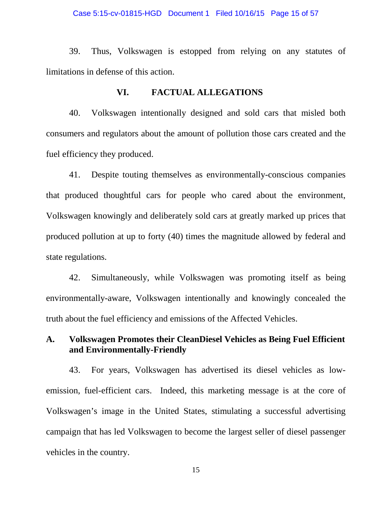### Case 5:15-cv-01815-HGD Document 1 Filed 10/16/15 Page 15 of 57

39. Thus, Volkswagen is estopped from relying on any statutes of limitations in defense of this action.

## **VI. FACTUAL ALLEGATIONS**

40. Volkswagen intentionally designed and sold cars that misled both consumers and regulators about the amount of pollution those cars created and the fuel efficiency they produced.

41. Despite touting themselves as environmentally-conscious companies that produced thoughtful cars for people who cared about the environment, Volkswagen knowingly and deliberately sold cars at greatly marked up prices that produced pollution at up to forty (40) times the magnitude allowed by federal and state regulations.

42. Simultaneously, while Volkswagen was promoting itself as being environmentally-aware, Volkswagen intentionally and knowingly concealed the truth about the fuel efficiency and emissions of the Affected Vehicles.

## **A. Volkswagen Promotes their CleanDiesel Vehicles as Being Fuel Efficient and Environmentally-Friendly**

43. For years, Volkswagen has advertised its diesel vehicles as lowemission, fuel-efficient cars. Indeed, this marketing message is at the core of Volkswagen's image in the United States, stimulating a successful advertising campaign that has led Volkswagen to become the largest seller of diesel passenger vehicles in the country.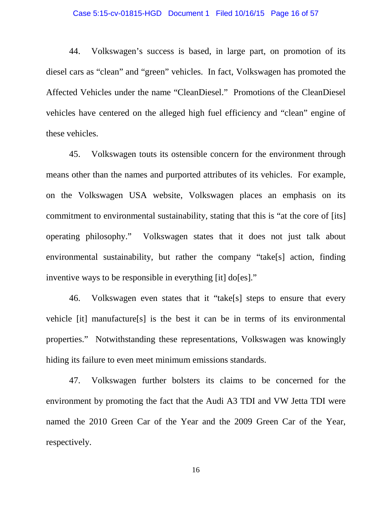### Case 5:15-cv-01815-HGD Document 1 Filed 10/16/15 Page 16 of 57

44. Volkswagen's success is based, in large part, on promotion of its diesel cars as "clean" and "green" vehicles. In fact, Volkswagen has promoted the Affected Vehicles under the name "CleanDiesel." Promotions of the CleanDiesel vehicles have centered on the alleged high fuel efficiency and "clean" engine of these vehicles.

45. Volkswagen touts its ostensible concern for the environment through means other than the names and purported attributes of its vehicles. For example, on the Volkswagen USA website, Volkswagen places an emphasis on its commitment to environmental sustainability, stating that this is "at the core of [its] operating philosophy." Volkswagen states that it does not just talk about environmental sustainability, but rather the company "take[s] action, finding inventive ways to be responsible in everything [it] do[es]."

46. Volkswagen even states that it "take[s] steps to ensure that every vehicle [it] manufacture[s] is the best it can be in terms of its environmental properties." Notwithstanding these representations, Volkswagen was knowingly hiding its failure to even meet minimum emissions standards.

47. Volkswagen further bolsters its claims to be concerned for the environment by promoting the fact that the Audi A3 TDI and VW Jetta TDI were named the 2010 Green Car of the Year and the 2009 Green Car of the Year, respectively.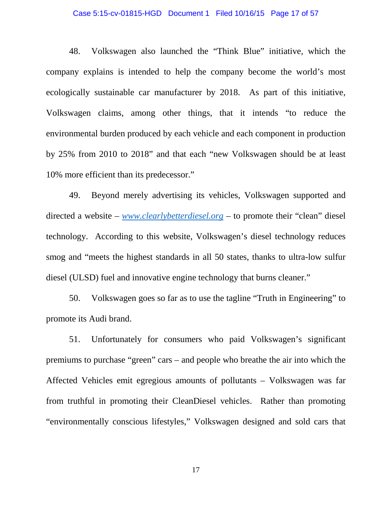### Case 5:15-cv-01815-HGD Document 1 Filed 10/16/15 Page 17 of 57

48. Volkswagen also launched the "Think Blue" initiative, which the company explains is intended to help the company become the world's most ecologically sustainable car manufacturer by 2018. As part of this initiative, Volkswagen claims, among other things, that it intends "to reduce the environmental burden produced by each vehicle and each component in production by 25% from 2010 to 2018" and that each "new Volkswagen should be at least 10% more efficient than its predecessor."

49. Beyond merely advertising its vehicles, Volkswagen supported and directed a website – *[www.clearlybetterdiesel.org](http://www.clearlybetterdiesel.org/)* – to promote their "clean" diesel technology. According to this website, Volkswagen's diesel technology reduces smog and "meets the highest standards in all 50 states, thanks to ultra-low sulfur diesel (ULSD) fuel and innovative engine technology that burns cleaner."

50. Volkswagen goes so far as to use the tagline "Truth in Engineering" to promote its Audi brand.

51. Unfortunately for consumers who paid Volkswagen's significant premiums to purchase "green" cars – and people who breathe the air into which the Affected Vehicles emit egregious amounts of pollutants – Volkswagen was far from truthful in promoting their CleanDiesel vehicles. Rather than promoting "environmentally conscious lifestyles," Volkswagen designed and sold cars that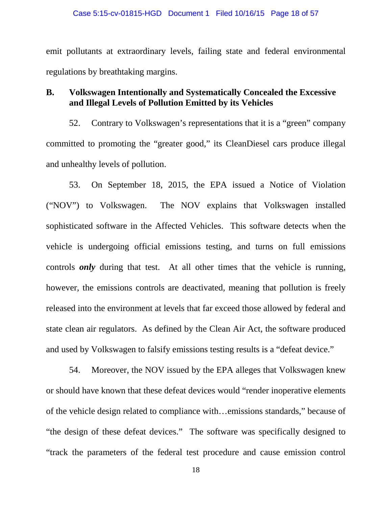emit pollutants at extraordinary levels, failing state and federal environmental regulations by breathtaking margins.

## **B. Volkswagen Intentionally and Systematically Concealed the Excessive and Illegal Levels of Pollution Emitted by its Vehicles**

52. Contrary to Volkswagen's representations that it is a "green" company committed to promoting the "greater good," its CleanDiesel cars produce illegal and unhealthy levels of pollution.

53. On September 18, 2015, the EPA issued a Notice of Violation ("NOV") to Volkswagen. The NOV explains that Volkswagen installed sophisticated software in the Affected Vehicles. This software detects when the vehicle is undergoing official emissions testing, and turns on full emissions controls *only* during that test. At all other times that the vehicle is running, however, the emissions controls are deactivated, meaning that pollution is freely released into the environment at levels that far exceed those allowed by federal and state clean air regulators. As defined by the Clean Air Act, the software produced and used by Volkswagen to falsify emissions testing results is a "defeat device."

54. Moreover, the NOV issued by the EPA alleges that Volkswagen knew or should have known that these defeat devices would "render inoperative elements of the vehicle design related to compliance with…emissions standards," because of "the design of these defeat devices." The software was specifically designed to "track the parameters of the federal test procedure and cause emission control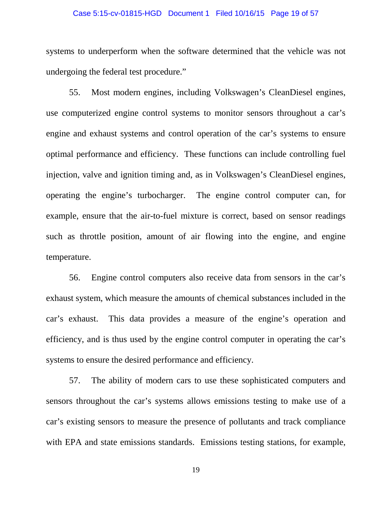### Case 5:15-cv-01815-HGD Document 1 Filed 10/16/15 Page 19 of 57

systems to underperform when the software determined that the vehicle was not undergoing the federal test procedure."

55. Most modern engines, including Volkswagen's CleanDiesel engines, use computerized engine control systems to monitor sensors throughout a car's engine and exhaust systems and control operation of the car's systems to ensure optimal performance and efficiency. These functions can include controlling fuel injection, valve and ignition timing and, as in Volkswagen's CleanDiesel engines, operating the engine's turbocharger. The engine control computer can, for example, ensure that the air-to-fuel mixture is correct, based on sensor readings such as throttle position, amount of air flowing into the engine, and engine temperature.

56. Engine control computers also receive data from sensors in the car's exhaust system, which measure the amounts of chemical substances included in the car's exhaust. This data provides a measure of the engine's operation and efficiency, and is thus used by the engine control computer in operating the car's systems to ensure the desired performance and efficiency.

57. The ability of modern cars to use these sophisticated computers and sensors throughout the car's systems allows emissions testing to make use of a car's existing sensors to measure the presence of pollutants and track compliance with EPA and state emissions standards. Emissions testing stations, for example,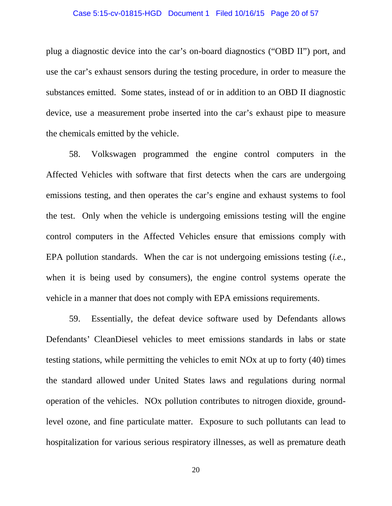### Case 5:15-cv-01815-HGD Document 1 Filed 10/16/15 Page 20 of 57

plug a diagnostic device into the car's on-board diagnostics ("OBD II") port, and use the car's exhaust sensors during the testing procedure, in order to measure the substances emitted. Some states, instead of or in addition to an OBD II diagnostic device, use a measurement probe inserted into the car's exhaust pipe to measure the chemicals emitted by the vehicle.

58. Volkswagen programmed the engine control computers in the Affected Vehicles with software that first detects when the cars are undergoing emissions testing, and then operates the car's engine and exhaust systems to fool the test. Only when the vehicle is undergoing emissions testing will the engine control computers in the Affected Vehicles ensure that emissions comply with EPA pollution standards. When the car is not undergoing emissions testing (*i.e.*, when it is being used by consumers), the engine control systems operate the vehicle in a manner that does not comply with EPA emissions requirements.

59. Essentially, the defeat device software used by Defendants allows Defendants' CleanDiesel vehicles to meet emissions standards in labs or state testing stations, while permitting the vehicles to emit NOx at up to forty (40) times the standard allowed under United States laws and regulations during normal operation of the vehicles. NOx pollution contributes to nitrogen dioxide, groundlevel ozone, and fine particulate matter. Exposure to such pollutants can lead to hospitalization for various serious respiratory illnesses, as well as premature death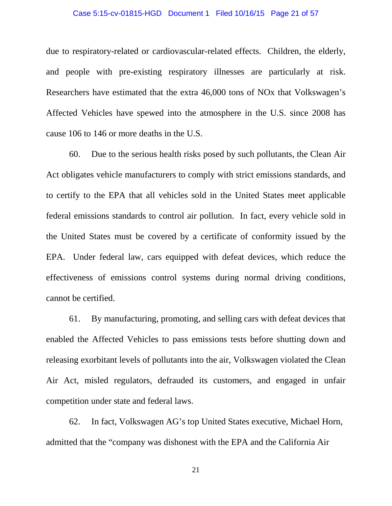### Case 5:15-cv-01815-HGD Document 1 Filed 10/16/15 Page 21 of 57

due to respiratory-related or cardiovascular-related effects. Children, the elderly, and people with pre-existing respiratory illnesses are particularly at risk. Researchers have estimated that the extra 46,000 tons of NOx that Volkswagen's Affected Vehicles have spewed into the atmosphere in the U.S. since 2008 has cause 106 to 146 or more deaths in the U.S.

60. Due to the serious health risks posed by such pollutants, the Clean Air Act obligates vehicle manufacturers to comply with strict emissions standards, and to certify to the EPA that all vehicles sold in the United States meet applicable federal emissions standards to control air pollution. In fact, every vehicle sold in the United States must be covered by a certificate of conformity issued by the EPA. Under federal law, cars equipped with defeat devices, which reduce the effectiveness of emissions control systems during normal driving conditions, cannot be certified.

61. By manufacturing, promoting, and selling cars with defeat devices that enabled the Affected Vehicles to pass emissions tests before shutting down and releasing exorbitant levels of pollutants into the air, Volkswagen violated the Clean Air Act, misled regulators, defrauded its customers, and engaged in unfair competition under state and federal laws.

62. In fact, Volkswagen AG's top United States executive, Michael Horn, admitted that the "company was dishonest with the EPA and the California Air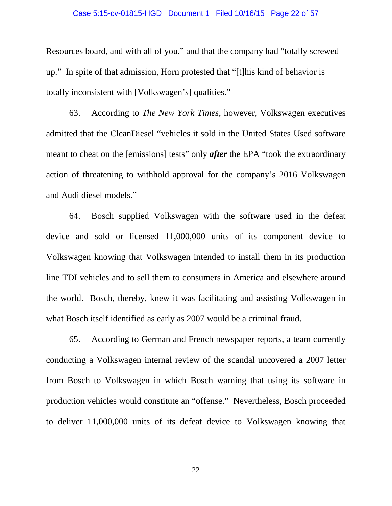### Case 5:15-cv-01815-HGD Document 1 Filed 10/16/15 Page 22 of 57

Resources board, and with all of you," and that the company had "totally screwed up." In spite of that admission, Horn protested that "[t]his kind of behavior is totally inconsistent with [Volkswagen's] qualities."

63. According to *The New York Times*, however, Volkswagen executives admitted that the CleanDiesel "vehicles it sold in the United States Used software meant to cheat on the [emissions] tests" only *after* the EPA "took the extraordinary action of threatening to withhold approval for the company's 2016 Volkswagen and Audi diesel models."

64. Bosch supplied Volkswagen with the software used in the defeat device and sold or licensed 11,000,000 units of its component device to Volkswagen knowing that Volkswagen intended to install them in its production line TDI vehicles and to sell them to consumers in America and elsewhere around the world. Bosch, thereby, knew it was facilitating and assisting Volkswagen in what Bosch itself identified as early as 2007 would be a criminal fraud.

65. According to German and French newspaper reports, a team currently conducting a Volkswagen internal review of the scandal uncovered a 2007 letter from Bosch to Volkswagen in which Bosch warning that using its software in production vehicles would constitute an "offense." Nevertheless, Bosch proceeded to deliver 11,000,000 units of its defeat device to Volkswagen knowing that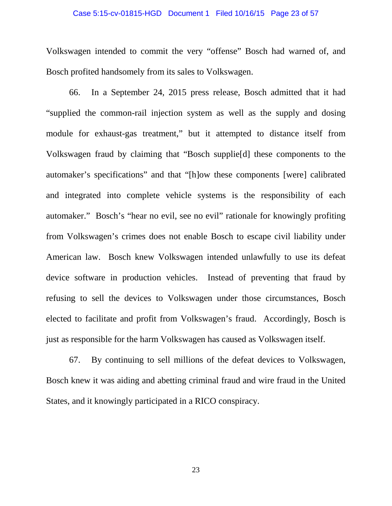### Case 5:15-cv-01815-HGD Document 1 Filed 10/16/15 Page 23 of 57

Volkswagen intended to commit the very "offense" Bosch had warned of, and Bosch profited handsomely from its sales to Volkswagen.

66. In a September 24, 2015 press release, Bosch admitted that it had "supplied the common-rail injection system as well as the supply and dosing module for exhaust-gas treatment," but it attempted to distance itself from Volkswagen fraud by claiming that "Bosch supplie[d] these components to the automaker's specifications" and that "[h]ow these components [were] calibrated and integrated into complete vehicle systems is the responsibility of each automaker." Bosch's "hear no evil, see no evil" rationale for knowingly profiting from Volkswagen's crimes does not enable Bosch to escape civil liability under American law. Bosch knew Volkswagen intended unlawfully to use its defeat device software in production vehicles. Instead of preventing that fraud by refusing to sell the devices to Volkswagen under those circumstances, Bosch elected to facilitate and profit from Volkswagen's fraud. Accordingly, Bosch is just as responsible for the harm Volkswagen has caused as Volkswagen itself.

67. By continuing to sell millions of the defeat devices to Volkswagen, Bosch knew it was aiding and abetting criminal fraud and wire fraud in the United States, and it knowingly participated in a RICO conspiracy.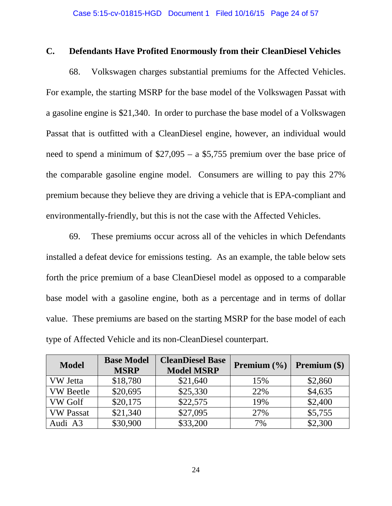## **C. Defendants Have Profited Enormously from their CleanDiesel Vehicles**

68. Volkswagen charges substantial premiums for the Affected Vehicles. For example, the starting MSRP for the base model of the Volkswagen Passat with a gasoline engine is \$21,340. In order to purchase the base model of a Volkswagen Passat that is outfitted with a CleanDiesel engine, however, an individual would need to spend a minimum of \$27,095 – a \$5,755 premium over the base price of the comparable gasoline engine model. Consumers are willing to pay this 27% premium because they believe they are driving a vehicle that is EPA-compliant and environmentally-friendly, but this is not the case with the Affected Vehicles.

69. These premiums occur across all of the vehicles in which Defendants installed a defeat device for emissions testing. As an example, the table below sets forth the price premium of a base CleanDiesel model as opposed to a comparable base model with a gasoline engine, both as a percentage and in terms of dollar value. These premiums are based on the starting MSRP for the base model of each type of Affected Vehicle and its non-CleanDiesel counterpart.

| <b>Model</b>     | <b>Base Model</b><br><b>MSRP</b> | <b>CleanDiesel Base</b><br><b>Model MSRP</b> | <b>Premium</b> $(\%)$ | <b>Premium</b> $(\$)$ |
|------------------|----------------------------------|----------------------------------------------|-----------------------|-----------------------|
| <b>VW</b> Jetta  | \$18,780                         | \$21,640                                     | 15%                   | \$2,860               |
| <b>VW</b> Beetle | \$20,695                         | \$25,330                                     | 22%                   | \$4,635               |
| <b>VW Golf</b>   | \$20,175                         | \$22,575                                     | 19%                   | \$2,400               |
| <b>VW Passat</b> | \$21,340                         | \$27,095                                     | 27%                   | \$5,755               |
| Audi A3          | \$30,900                         | \$33,200                                     | 7%                    | \$2,300               |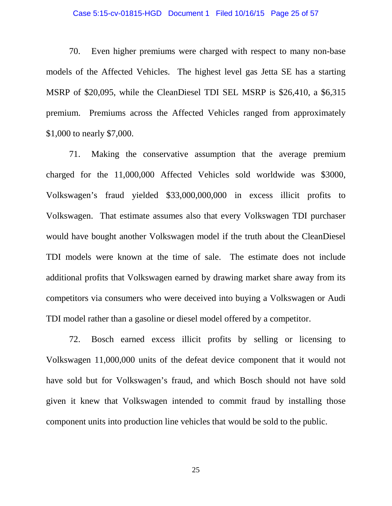### Case 5:15-cv-01815-HGD Document 1 Filed 10/16/15 Page 25 of 57

70. Even higher premiums were charged with respect to many non-base models of the Affected Vehicles. The highest level gas Jetta SE has a starting MSRP of \$20,095, while the CleanDiesel TDI SEL MSRP is \$26,410, a \$6,315 premium. Premiums across the Affected Vehicles ranged from approximately \$1,000 to nearly \$7,000.

71. Making the conservative assumption that the average premium charged for the 11,000,000 Affected Vehicles sold worldwide was \$3000, Volkswagen's fraud yielded \$33,000,000,000 in excess illicit profits to Volkswagen. That estimate assumes also that every Volkswagen TDI purchaser would have bought another Volkswagen model if the truth about the CleanDiesel TDI models were known at the time of sale. The estimate does not include additional profits that Volkswagen earned by drawing market share away from its competitors via consumers who were deceived into buying a Volkswagen or Audi TDI model rather than a gasoline or diesel model offered by a competitor.

72. Bosch earned excess illicit profits by selling or licensing to Volkswagen 11,000,000 units of the defeat device component that it would not have sold but for Volkswagen's fraud, and which Bosch should not have sold given it knew that Volkswagen intended to commit fraud by installing those component units into production line vehicles that would be sold to the public.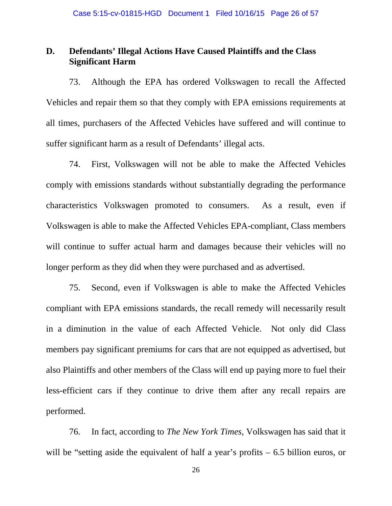## **D. Defendants' Illegal Actions Have Caused Plaintiffs and the Class Significant Harm**

73. Although the EPA has ordered Volkswagen to recall the Affected Vehicles and repair them so that they comply with EPA emissions requirements at all times, purchasers of the Affected Vehicles have suffered and will continue to suffer significant harm as a result of Defendants' illegal acts.

74. First, Volkswagen will not be able to make the Affected Vehicles comply with emissions standards without substantially degrading the performance characteristics Volkswagen promoted to consumers. As a result, even if Volkswagen is able to make the Affected Vehicles EPA-compliant, Class members will continue to suffer actual harm and damages because their vehicles will no longer perform as they did when they were purchased and as advertised.

75. Second, even if Volkswagen is able to make the Affected Vehicles compliant with EPA emissions standards, the recall remedy will necessarily result in a diminution in the value of each Affected Vehicle. Not only did Class members pay significant premiums for cars that are not equipped as advertised, but also Plaintiffs and other members of the Class will end up paying more to fuel their less-efficient cars if they continue to drive them after any recall repairs are performed.

76. In fact, according to *The New York Times*, Volkswagen has said that it will be "setting aside the equivalent of half a year's profits – 6.5 billion euros, or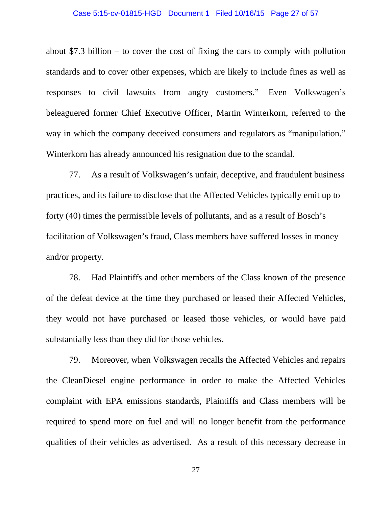### Case 5:15-cv-01815-HGD Document 1 Filed 10/16/15 Page 27 of 57

about \$7.3 billion – to cover the cost of fixing the cars to comply with pollution standards and to cover other expenses, which are likely to include fines as well as responses to civil lawsuits from angry customers." Even Volkswagen's beleaguered former Chief Executive Officer, Martin Winterkorn, referred to the way in which the company deceived consumers and regulators as "manipulation." Winterkorn has already announced his resignation due to the scandal.

77. As a result of Volkswagen's unfair, deceptive, and fraudulent business practices, and its failure to disclose that the Affected Vehicles typically emit up to forty (40) times the permissible levels of pollutants, and as a result of Bosch's facilitation of Volkswagen's fraud, Class members have suffered losses in money and/or property.

78. Had Plaintiffs and other members of the Class known of the presence of the defeat device at the time they purchased or leased their Affected Vehicles, they would not have purchased or leased those vehicles, or would have paid substantially less than they did for those vehicles.

79. Moreover, when Volkswagen recalls the Affected Vehicles and repairs the CleanDiesel engine performance in order to make the Affected Vehicles complaint with EPA emissions standards, Plaintiffs and Class members will be required to spend more on fuel and will no longer benefit from the performance qualities of their vehicles as advertised. As a result of this necessary decrease in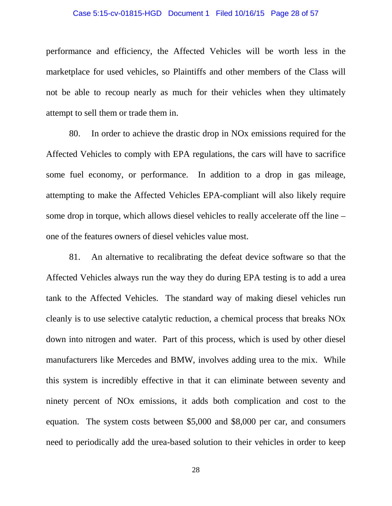### Case 5:15-cv-01815-HGD Document 1 Filed 10/16/15 Page 28 of 57

performance and efficiency, the Affected Vehicles will be worth less in the marketplace for used vehicles, so Plaintiffs and other members of the Class will not be able to recoup nearly as much for their vehicles when they ultimately attempt to sell them or trade them in.

80. In order to achieve the drastic drop in NOx emissions required for the Affected Vehicles to comply with EPA regulations, the cars will have to sacrifice some fuel economy, or performance. In addition to a drop in gas mileage, attempting to make the Affected Vehicles EPA-compliant will also likely require some drop in torque, which allows diesel vehicles to really accelerate off the line – one of the features owners of diesel vehicles value most.

81. An alternative to recalibrating the defeat device software so that the Affected Vehicles always run the way they do during EPA testing is to add a urea tank to the Affected Vehicles. The standard way of making diesel vehicles run cleanly is to use selective catalytic reduction, a chemical process that breaks NOx down into nitrogen and water. Part of this process, which is used by other diesel manufacturers like Mercedes and BMW, involves adding urea to the mix. While this system is incredibly effective in that it can eliminate between seventy and ninety percent of NOx emissions, it adds both complication and cost to the equation. The system costs between \$5,000 and \$8,000 per car, and consumers need to periodically add the urea-based solution to their vehicles in order to keep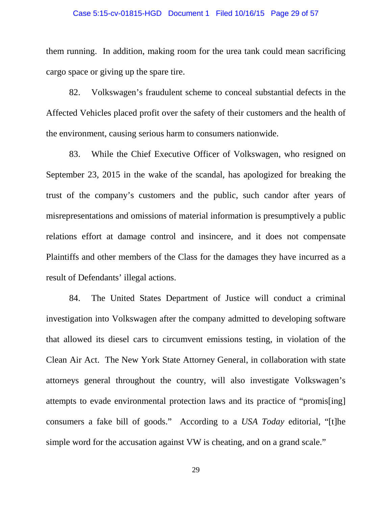### Case 5:15-cv-01815-HGD Document 1 Filed 10/16/15 Page 29 of 57

them running. In addition, making room for the urea tank could mean sacrificing cargo space or giving up the spare tire.

82. Volkswagen's fraudulent scheme to conceal substantial defects in the Affected Vehicles placed profit over the safety of their customers and the health of the environment, causing serious harm to consumers nationwide.

83. While the Chief Executive Officer of Volkswagen, who resigned on September 23, 2015 in the wake of the scandal, has apologized for breaking the trust of the company's customers and the public, such candor after years of misrepresentations and omissions of material information is presumptively a public relations effort at damage control and insincere, and it does not compensate Plaintiffs and other members of the Class for the damages they have incurred as a result of Defendants' illegal actions.

84. The United States Department of Justice will conduct a criminal investigation into Volkswagen after the company admitted to developing software that allowed its diesel cars to circumvent emissions testing, in violation of the Clean Air Act. The New York State Attorney General, in collaboration with state attorneys general throughout the country, will also investigate Volkswagen's attempts to evade environmental protection laws and its practice of "promis[ing] consumers a fake bill of goods." According to a *USA Today* editorial, "[t]he simple word for the accusation against VW is cheating, and on a grand scale."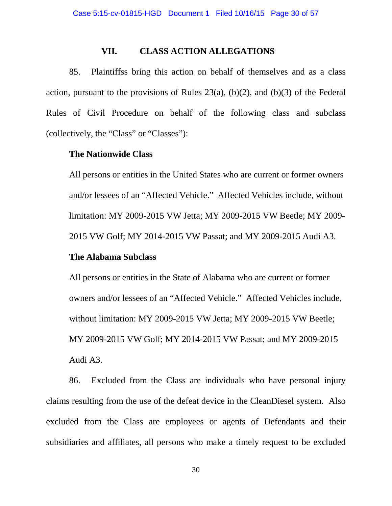### **VII. CLASS ACTION ALLEGATIONS**

85. Plaintiffss bring this action on behalf of themselves and as a class action, pursuant to the provisions of Rules  $23(a)$ , (b)(2), and (b)(3) of the Federal Rules of Civil Procedure on behalf of the following class and subclass (collectively, the "Class" or "Classes"):

### **The Nationwide Class**

All persons or entities in the United States who are current or former owners and/or lessees of an "Affected Vehicle." Affected Vehicles include, without limitation: MY 2009-2015 VW Jetta; MY 2009-2015 VW Beetle; MY 2009- 2015 VW Golf; MY 2014-2015 VW Passat; and MY 2009-2015 Audi A3.

### **The Alabama Subclass**

All persons or entities in the State of Alabama who are current or former owners and/or lessees of an "Affected Vehicle." Affected Vehicles include, without limitation: MY 2009-2015 VW Jetta; MY 2009-2015 VW Beetle; MY 2009-2015 VW Golf; MY 2014-2015 VW Passat; and MY 2009-2015 Audi A3.

86. Excluded from the Class are individuals who have personal injury claims resulting from the use of the defeat device in the CleanDiesel system. Also excluded from the Class are employees or agents of Defendants and their subsidiaries and affiliates, all persons who make a timely request to be excluded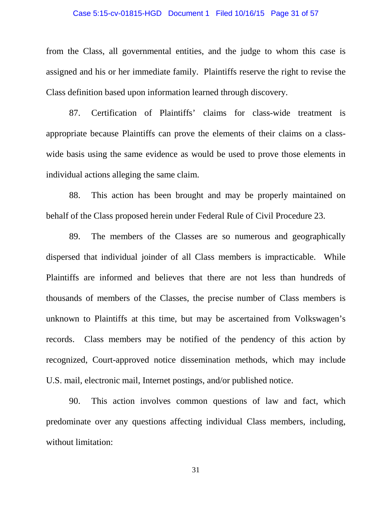### Case 5:15-cv-01815-HGD Document 1 Filed 10/16/15 Page 31 of 57

from the Class, all governmental entities, and the judge to whom this case is assigned and his or her immediate family. Plaintiffs reserve the right to revise the Class definition based upon information learned through discovery.

87. Certification of Plaintiffs' claims for class-wide treatment is appropriate because Plaintiffs can prove the elements of their claims on a classwide basis using the same evidence as would be used to prove those elements in individual actions alleging the same claim.

88. This action has been brought and may be properly maintained on behalf of the Class proposed herein under Federal Rule of Civil Procedure 23.

89. The members of the Classes are so numerous and geographically dispersed that individual joinder of all Class members is impracticable. While Plaintiffs are informed and believes that there are not less than hundreds of thousands of members of the Classes, the precise number of Class members is unknown to Plaintiffs at this time, but may be ascertained from Volkswagen's records. Class members may be notified of the pendency of this action by recognized, Court-approved notice dissemination methods, which may include U.S. mail, electronic mail, Internet postings, and/or published notice.

90. This action involves common questions of law and fact, which predominate over any questions affecting individual Class members, including, without limitation: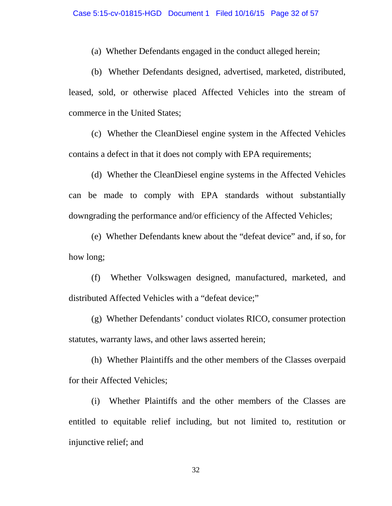(a) Whether Defendants engaged in the conduct alleged herein;

(b) Whether Defendants designed, advertised, marketed, distributed, leased, sold, or otherwise placed Affected Vehicles into the stream of commerce in the United States;

(c) Whether the CleanDiesel engine system in the Affected Vehicles contains a defect in that it does not comply with EPA requirements;

(d) Whether the CleanDiesel engine systems in the Affected Vehicles can be made to comply with EPA standards without substantially downgrading the performance and/or efficiency of the Affected Vehicles;

(e) Whether Defendants knew about the "defeat device" and, if so, for how long;

(f) Whether Volkswagen designed, manufactured, marketed, and distributed Affected Vehicles with a "defeat device;"

(g) Whether Defendants' conduct violates RICO, consumer protection statutes, warranty laws, and other laws asserted herein;

(h) Whether Plaintiffs and the other members of the Classes overpaid for their Affected Vehicles;

(i) Whether Plaintiffs and the other members of the Classes are entitled to equitable relief including, but not limited to, restitution or injunctive relief; and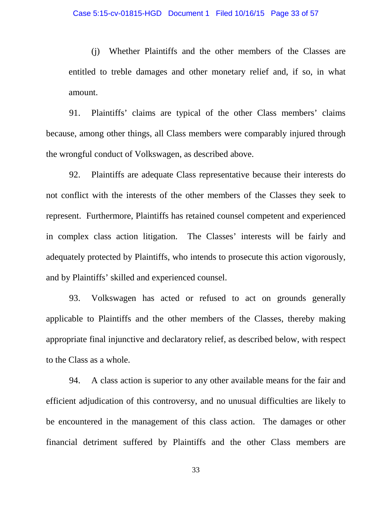(j) Whether Plaintiffs and the other members of the Classes are entitled to treble damages and other monetary relief and, if so, in what amount.

91. Plaintiffs' claims are typical of the other Class members' claims because, among other things, all Class members were comparably injured through the wrongful conduct of Volkswagen, as described above.

92. Plaintiffs are adequate Class representative because their interests do not conflict with the interests of the other members of the Classes they seek to represent. Furthermore, Plaintiffs has retained counsel competent and experienced in complex class action litigation. The Classes' interests will be fairly and adequately protected by Plaintiffs, who intends to prosecute this action vigorously, and by Plaintiffs' skilled and experienced counsel.

93. Volkswagen has acted or refused to act on grounds generally applicable to Plaintiffs and the other members of the Classes, thereby making appropriate final injunctive and declaratory relief, as described below, with respect to the Class as a whole.

94. A class action is superior to any other available means for the fair and efficient adjudication of this controversy, and no unusual difficulties are likely to be encountered in the management of this class action. The damages or other financial detriment suffered by Plaintiffs and the other Class members are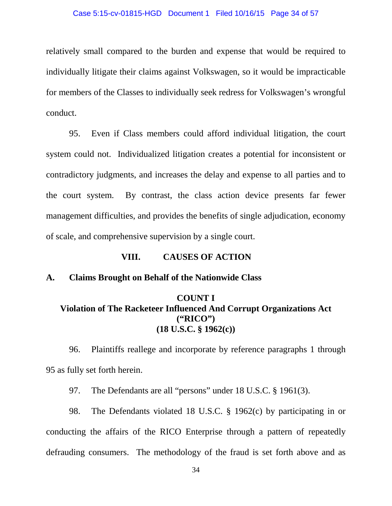### Case 5:15-cv-01815-HGD Document 1 Filed 10/16/15 Page 34 of 57

relatively small compared to the burden and expense that would be required to individually litigate their claims against Volkswagen, so it would be impracticable for members of the Classes to individually seek redress for Volkswagen's wrongful conduct.

95. Even if Class members could afford individual litigation, the court system could not. Individualized litigation creates a potential for inconsistent or contradictory judgments, and increases the delay and expense to all parties and to the court system. By contrast, the class action device presents far fewer management difficulties, and provides the benefits of single adjudication, economy of scale, and comprehensive supervision by a single court.

### **VIII. CAUSES OF ACTION**

### **A. Claims Brought on Behalf of the Nationwide Class**

## **COUNT I Violation of The Racketeer Influenced And Corrupt Organizations Act ("RICO") (18 U.S.C. § 1962(c))**

96. Plaintiffs reallege and incorporate by reference paragraphs 1 through 95 as fully set forth herein.

97. The Defendants are all "persons" under 18 U.S.C. § 1961(3).

98. The Defendants violated 18 U.S.C. § 1962(c) by participating in or conducting the affairs of the RICO Enterprise through a pattern of repeatedly defrauding consumers. The methodology of the fraud is set forth above and as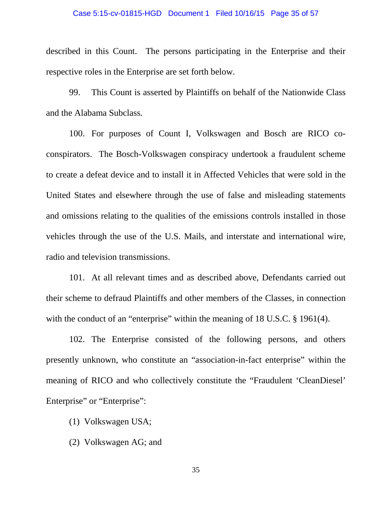### Case 5:15-cv-01815-HGD Document 1 Filed 10/16/15 Page 35 of 57

described in this Count. The persons participating in the Enterprise and their respective roles in the Enterprise are set forth below.

99. This Count is asserted by Plaintiffs on behalf of the Nationwide Class and the Alabama Subclass.

100. For purposes of Count I, Volkswagen and Bosch are RICO coconspirators. The Bosch-Volkswagen conspiracy undertook a fraudulent scheme to create a defeat device and to install it in Affected Vehicles that were sold in the United States and elsewhere through the use of false and misleading statements and omissions relating to the qualities of the emissions controls installed in those vehicles through the use of the U.S. Mails, and interstate and international wire, radio and television transmissions.

101. At all relevant times and as described above, Defendants carried out their scheme to defraud Plaintiffs and other members of the Classes, in connection with the conduct of an "enterprise" within the meaning of 18 U.S.C. § 1961(4).

102. The Enterprise consisted of the following persons, and others presently unknown, who constitute an "association-in-fact enterprise" within the meaning of RICO and who collectively constitute the "Fraudulent 'CleanDiesel' Enterprise" or "Enterprise":

- (1) Volkswagen USA;
- (2) Volkswagen AG; and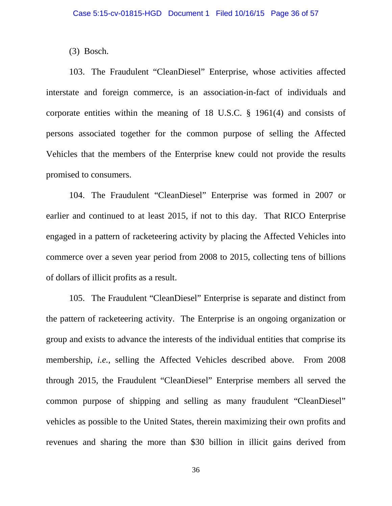(3) Bosch.

103. The Fraudulent "CleanDiesel" Enterprise, whose activities affected interstate and foreign commerce, is an association-in-fact of individuals and corporate entities within the meaning of 18 U.S.C. § 1961(4) and consists of persons associated together for the common purpose of selling the Affected Vehicles that the members of the Enterprise knew could not provide the results promised to consumers.

104. The Fraudulent "CleanDiesel" Enterprise was formed in 2007 or earlier and continued to at least 2015, if not to this day. That RICO Enterprise engaged in a pattern of racketeering activity by placing the Affected Vehicles into commerce over a seven year period from 2008 to 2015, collecting tens of billions of dollars of illicit profits as a result.

105. The Fraudulent "CleanDiesel" Enterprise is separate and distinct from the pattern of racketeering activity. The Enterprise is an ongoing organization or group and exists to advance the interests of the individual entities that comprise its membership, *i.e.*, selling the Affected Vehicles described above. From 2008 through 2015, the Fraudulent "CleanDiesel" Enterprise members all served the common purpose of shipping and selling as many fraudulent "CleanDiesel" vehicles as possible to the United States, therein maximizing their own profits and revenues and sharing the more than \$30 billion in illicit gains derived from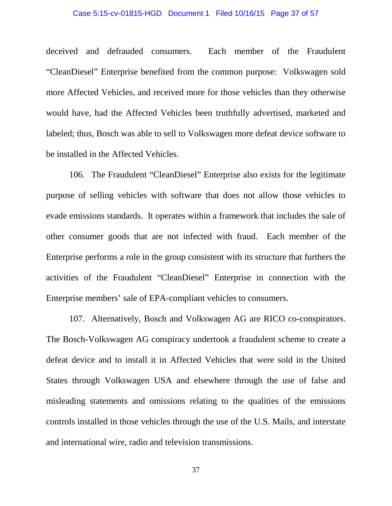### Case 5:15-cv-01815-HGD Document 1 Filed 10/16/15 Page 37 of 57

deceived and defrauded consumers. Each member of the Fraudulent "CleanDiesel" Enterprise benefited from the common purpose: Volkswagen sold more Affected Vehicles, and received more for those vehicles than they otherwise would have, had the Affected Vehicles been truthfully advertised, marketed and labeled; thus, Bosch was able to sell to Volkswagen more defeat device software to be installed in the Affected Vehicles.

106. The Fraudulent "CleanDiesel" Enterprise also exists for the legitimate purpose of selling vehicles with software that does not allow those vehicles to evade emissions standards. It operates within a framework that includes the sale of other consumer goods that are not infected with fraud. Each member of the Enterprise performs a role in the group consistent with its structure that furthers the activities of the Fraudulent "CleanDiesel" Enterprise in connection with the Enterprise members' sale of EPA-compliant vehicles to consumers.

107. Alternatively, Bosch and Volkswagen AG are RICO co-conspirators. The Bosch-Volkswagen AG conspiracy undertook a fraudulent scheme to create a defeat device and to install it in Affected Vehicles that were sold in the United States through Volkswagen USA and elsewhere through the use of false and misleading statements and omissions relating to the qualities of the emissions controls installed in those vehicles through the use of the U.S. Mails, and interstate and international wire, radio and television transmissions.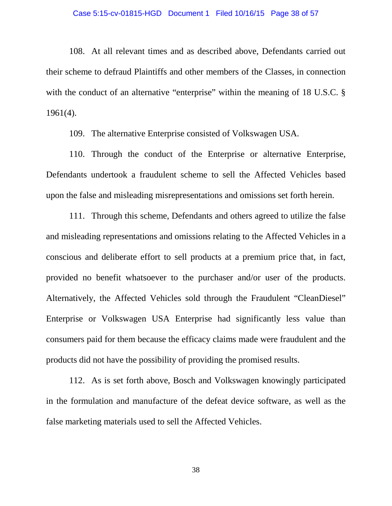### Case 5:15-cv-01815-HGD Document 1 Filed 10/16/15 Page 38 of 57

108. At all relevant times and as described above, Defendants carried out their scheme to defraud Plaintiffs and other members of the Classes, in connection with the conduct of an alternative "enterprise" within the meaning of 18 U.S.C. § 1961(4).

109. The alternative Enterprise consisted of Volkswagen USA.

110. Through the conduct of the Enterprise or alternative Enterprise, Defendants undertook a fraudulent scheme to sell the Affected Vehicles based upon the false and misleading misrepresentations and omissions set forth herein.

111. Through this scheme, Defendants and others agreed to utilize the false and misleading representations and omissions relating to the Affected Vehicles in a conscious and deliberate effort to sell products at a premium price that, in fact, provided no benefit whatsoever to the purchaser and/or user of the products. Alternatively, the Affected Vehicles sold through the Fraudulent "CleanDiesel" Enterprise or Volkswagen USA Enterprise had significantly less value than consumers paid for them because the efficacy claims made were fraudulent and the products did not have the possibility of providing the promised results.

112. As is set forth above, Bosch and Volkswagen knowingly participated in the formulation and manufacture of the defeat device software, as well as the false marketing materials used to sell the Affected Vehicles.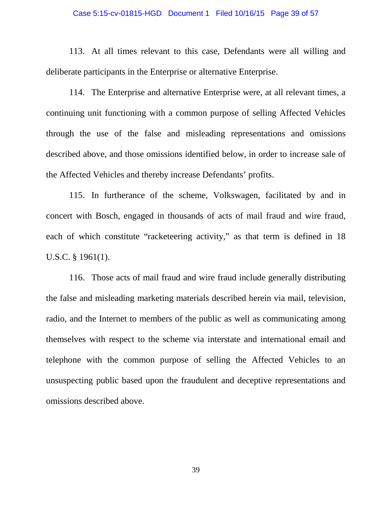### Case 5:15-cv-01815-HGD Document 1 Filed 10/16/15 Page 39 of 57

113. At all times relevant to this case, Defendants were all willing and deliberate participants in the Enterprise or alternative Enterprise.

114. The Enterprise and alternative Enterprise were, at all relevant times, a continuing unit functioning with a common purpose of selling Affected Vehicles through the use of the false and misleading representations and omissions described above, and those omissions identified below, in order to increase sale of the Affected Vehicles and thereby increase Defendants' profits.

115. In furtherance of the scheme, Volkswagen, facilitated by and in concert with Bosch, engaged in thousands of acts of mail fraud and wire fraud, each of which constitute "racketeering activity," as that term is defined in 18 U.S.C. § 1961(1).

116. Those acts of mail fraud and wire fraud include generally distributing the false and misleading marketing materials described herein via mail, television, radio, and the Internet to members of the public as well as communicating among themselves with respect to the scheme via interstate and international email and telephone with the common purpose of selling the Affected Vehicles to an unsuspecting public based upon the fraudulent and deceptive representations and omissions described above.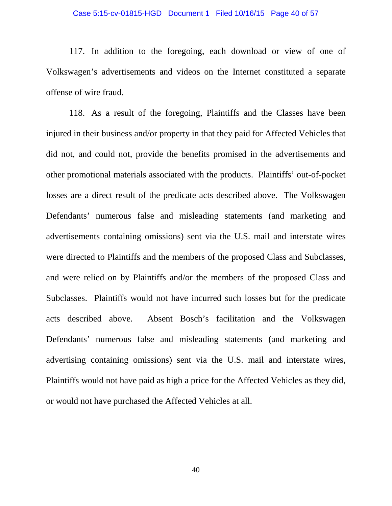### Case 5:15-cv-01815-HGD Document 1 Filed 10/16/15 Page 40 of 57

117. In addition to the foregoing, each download or view of one of Volkswagen's advertisements and videos on the Internet constituted a separate offense of wire fraud.

118. As a result of the foregoing, Plaintiffs and the Classes have been injured in their business and/or property in that they paid for Affected Vehicles that did not, and could not, provide the benefits promised in the advertisements and other promotional materials associated with the products. Plaintiffs' out-of-pocket losses are a direct result of the predicate acts described above. The Volkswagen Defendants' numerous false and misleading statements (and marketing and advertisements containing omissions) sent via the U.S. mail and interstate wires were directed to Plaintiffs and the members of the proposed Class and Subclasses, and were relied on by Plaintiffs and/or the members of the proposed Class and Subclasses. Plaintiffs would not have incurred such losses but for the predicate acts described above. Absent Bosch's facilitation and the Volkswagen Defendants' numerous false and misleading statements (and marketing and advertising containing omissions) sent via the U.S. mail and interstate wires, Plaintiffs would not have paid as high a price for the Affected Vehicles as they did, or would not have purchased the Affected Vehicles at all.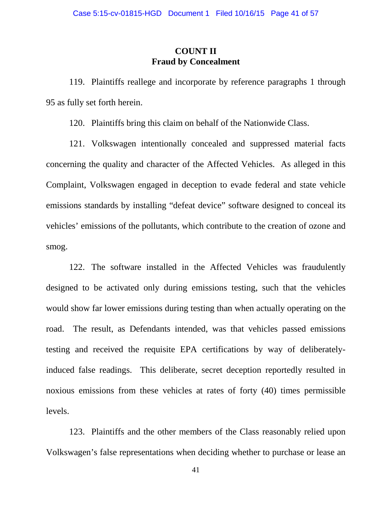## **COUNT II Fraud by Concealment**

119. Plaintiffs reallege and incorporate by reference paragraphs 1 through 95 as fully set forth herein.

120. Plaintiffs bring this claim on behalf of the Nationwide Class.

121. Volkswagen intentionally concealed and suppressed material facts concerning the quality and character of the Affected Vehicles. As alleged in this Complaint, Volkswagen engaged in deception to evade federal and state vehicle emissions standards by installing "defeat device" software designed to conceal its vehicles' emissions of the pollutants, which contribute to the creation of ozone and smog.

122. The software installed in the Affected Vehicles was fraudulently designed to be activated only during emissions testing, such that the vehicles would show far lower emissions during testing than when actually operating on the road. The result, as Defendants intended, was that vehicles passed emissions testing and received the requisite EPA certifications by way of deliberatelyinduced false readings. This deliberate, secret deception reportedly resulted in noxious emissions from these vehicles at rates of forty (40) times permissible levels.

123. Plaintiffs and the other members of the Class reasonably relied upon Volkswagen's false representations when deciding whether to purchase or lease an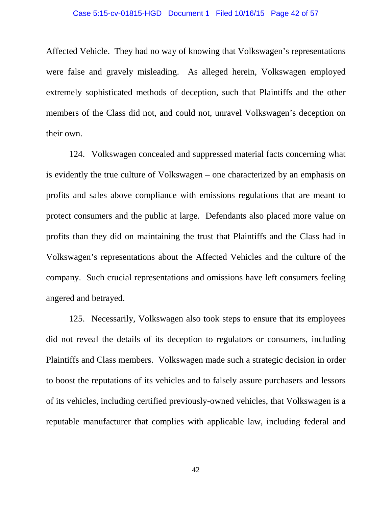### Case 5:15-cv-01815-HGD Document 1 Filed 10/16/15 Page 42 of 57

Affected Vehicle. They had no way of knowing that Volkswagen's representations were false and gravely misleading. As alleged herein, Volkswagen employed extremely sophisticated methods of deception, such that Plaintiffs and the other members of the Class did not, and could not, unravel Volkswagen's deception on their own.

124. Volkswagen concealed and suppressed material facts concerning what is evidently the true culture of Volkswagen – one characterized by an emphasis on profits and sales above compliance with emissions regulations that are meant to protect consumers and the public at large. Defendants also placed more value on profits than they did on maintaining the trust that Plaintiffs and the Class had in Volkswagen's representations about the Affected Vehicles and the culture of the company. Such crucial representations and omissions have left consumers feeling angered and betrayed.

125. Necessarily, Volkswagen also took steps to ensure that its employees did not reveal the details of its deception to regulators or consumers, including Plaintiffs and Class members. Volkswagen made such a strategic decision in order to boost the reputations of its vehicles and to falsely assure purchasers and lessors of its vehicles, including certified previously-owned vehicles, that Volkswagen is a reputable manufacturer that complies with applicable law, including federal and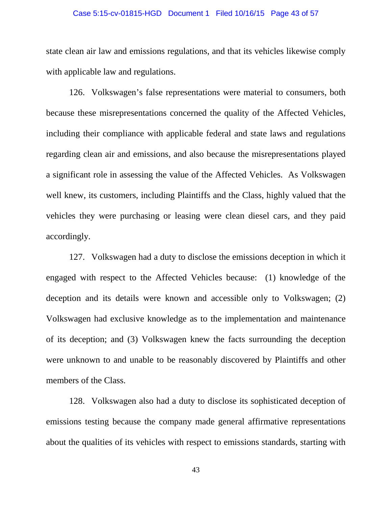### Case 5:15-cv-01815-HGD Document 1 Filed 10/16/15 Page 43 of 57

state clean air law and emissions regulations, and that its vehicles likewise comply with applicable law and regulations.

126. Volkswagen's false representations were material to consumers, both because these misrepresentations concerned the quality of the Affected Vehicles, including their compliance with applicable federal and state laws and regulations regarding clean air and emissions, and also because the misrepresentations played a significant role in assessing the value of the Affected Vehicles. As Volkswagen well knew, its customers, including Plaintiffs and the Class, highly valued that the vehicles they were purchasing or leasing were clean diesel cars, and they paid accordingly.

127. Volkswagen had a duty to disclose the emissions deception in which it engaged with respect to the Affected Vehicles because: (1) knowledge of the deception and its details were known and accessible only to Volkswagen; (2) Volkswagen had exclusive knowledge as to the implementation and maintenance of its deception; and (3) Volkswagen knew the facts surrounding the deception were unknown to and unable to be reasonably discovered by Plaintiffs and other members of the Class.

128. Volkswagen also had a duty to disclose its sophisticated deception of emissions testing because the company made general affirmative representations about the qualities of its vehicles with respect to emissions standards, starting with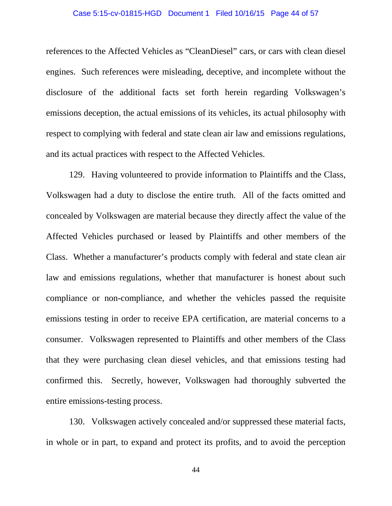### Case 5:15-cv-01815-HGD Document 1 Filed 10/16/15 Page 44 of 57

references to the Affected Vehicles as "CleanDiesel" cars, or cars with clean diesel engines. Such references were misleading, deceptive, and incomplete without the disclosure of the additional facts set forth herein regarding Volkswagen's emissions deception, the actual emissions of its vehicles, its actual philosophy with respect to complying with federal and state clean air law and emissions regulations, and its actual practices with respect to the Affected Vehicles.

129. Having volunteered to provide information to Plaintiffs and the Class, Volkswagen had a duty to disclose the entire truth. All of the facts omitted and concealed by Volkswagen are material because they directly affect the value of the Affected Vehicles purchased or leased by Plaintiffs and other members of the Class. Whether a manufacturer's products comply with federal and state clean air law and emissions regulations, whether that manufacturer is honest about such compliance or non-compliance, and whether the vehicles passed the requisite emissions testing in order to receive EPA certification, are material concerns to a consumer. Volkswagen represented to Plaintiffs and other members of the Class that they were purchasing clean diesel vehicles, and that emissions testing had confirmed this. Secretly, however, Volkswagen had thoroughly subverted the entire emissions-testing process.

130. Volkswagen actively concealed and/or suppressed these material facts, in whole or in part, to expand and protect its profits, and to avoid the perception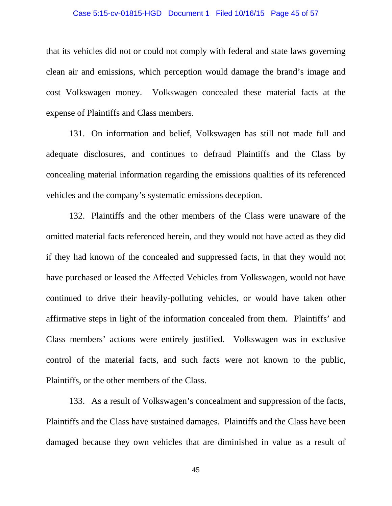### Case 5:15-cv-01815-HGD Document 1 Filed 10/16/15 Page 45 of 57

that its vehicles did not or could not comply with federal and state laws governing clean air and emissions, which perception would damage the brand's image and cost Volkswagen money. Volkswagen concealed these material facts at the expense of Plaintiffs and Class members.

131. On information and belief, Volkswagen has still not made full and adequate disclosures, and continues to defraud Plaintiffs and the Class by concealing material information regarding the emissions qualities of its referenced vehicles and the company's systematic emissions deception.

132. Plaintiffs and the other members of the Class were unaware of the omitted material facts referenced herein, and they would not have acted as they did if they had known of the concealed and suppressed facts, in that they would not have purchased or leased the Affected Vehicles from Volkswagen, would not have continued to drive their heavily-polluting vehicles, or would have taken other affirmative steps in light of the information concealed from them. Plaintiffs' and Class members' actions were entirely justified. Volkswagen was in exclusive control of the material facts, and such facts were not known to the public, Plaintiffs, or the other members of the Class.

133. As a result of Volkswagen's concealment and suppression of the facts, Plaintiffs and the Class have sustained damages. Plaintiffs and the Class have been damaged because they own vehicles that are diminished in value as a result of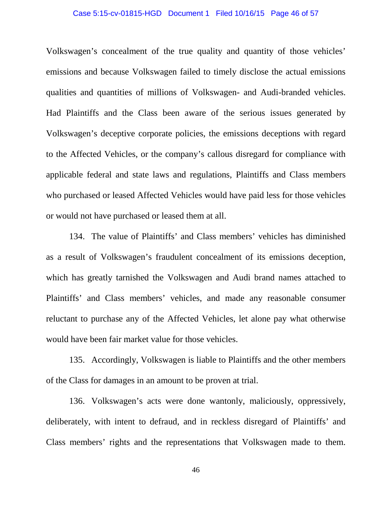### Case 5:15-cv-01815-HGD Document 1 Filed 10/16/15 Page 46 of 57

Volkswagen's concealment of the true quality and quantity of those vehicles' emissions and because Volkswagen failed to timely disclose the actual emissions qualities and quantities of millions of Volkswagen- and Audi-branded vehicles. Had Plaintiffs and the Class been aware of the serious issues generated by Volkswagen's deceptive corporate policies, the emissions deceptions with regard to the Affected Vehicles, or the company's callous disregard for compliance with applicable federal and state laws and regulations, Plaintiffs and Class members who purchased or leased Affected Vehicles would have paid less for those vehicles or would not have purchased or leased them at all.

134. The value of Plaintiffs' and Class members' vehicles has diminished as a result of Volkswagen's fraudulent concealment of its emissions deception, which has greatly tarnished the Volkswagen and Audi brand names attached to Plaintiffs' and Class members' vehicles, and made any reasonable consumer reluctant to purchase any of the Affected Vehicles, let alone pay what otherwise would have been fair market value for those vehicles.

135. Accordingly, Volkswagen is liable to Plaintiffs and the other members of the Class for damages in an amount to be proven at trial.

136. Volkswagen's acts were done wantonly, maliciously, oppressively, deliberately, with intent to defraud, and in reckless disregard of Plaintiffs' and Class members' rights and the representations that Volkswagen made to them.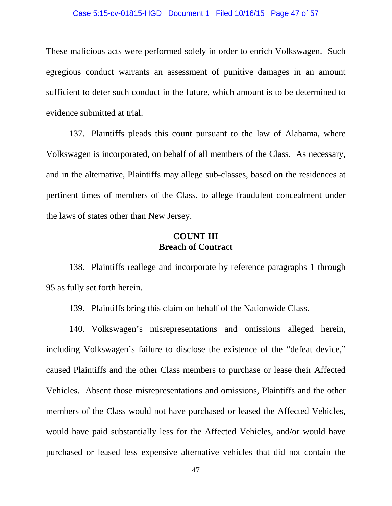### Case 5:15-cv-01815-HGD Document 1 Filed 10/16/15 Page 47 of 57

These malicious acts were performed solely in order to enrich Volkswagen. Such egregious conduct warrants an assessment of punitive damages in an amount sufficient to deter such conduct in the future, which amount is to be determined to evidence submitted at trial.

137. Plaintiffs pleads this count pursuant to the law of Alabama, where Volkswagen is incorporated, on behalf of all members of the Class. As necessary, and in the alternative, Plaintiffs may allege sub-classes, based on the residences at pertinent times of members of the Class, to allege fraudulent concealment under the laws of states other than New Jersey.

## **COUNT III Breach of Contract**

138. Plaintiffs reallege and incorporate by reference paragraphs 1 through 95 as fully set forth herein.

139. Plaintiffs bring this claim on behalf of the Nationwide Class.

140. Volkswagen's misrepresentations and omissions alleged herein, including Volkswagen's failure to disclose the existence of the "defeat device," caused Plaintiffs and the other Class members to purchase or lease their Affected Vehicles. Absent those misrepresentations and omissions, Plaintiffs and the other members of the Class would not have purchased or leased the Affected Vehicles, would have paid substantially less for the Affected Vehicles, and/or would have purchased or leased less expensive alternative vehicles that did not contain the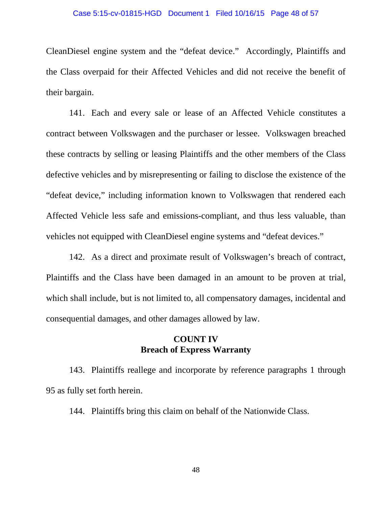### Case 5:15-cv-01815-HGD Document 1 Filed 10/16/15 Page 48 of 57

CleanDiesel engine system and the "defeat device." Accordingly, Plaintiffs and the Class overpaid for their Affected Vehicles and did not receive the benefit of their bargain.

141. Each and every sale or lease of an Affected Vehicle constitutes a contract between Volkswagen and the purchaser or lessee. Volkswagen breached these contracts by selling or leasing Plaintiffs and the other members of the Class defective vehicles and by misrepresenting or failing to disclose the existence of the "defeat device," including information known to Volkswagen that rendered each Affected Vehicle less safe and emissions-compliant, and thus less valuable, than vehicles not equipped with CleanDiesel engine systems and "defeat devices."

142. As a direct and proximate result of Volkswagen's breach of contract, Plaintiffs and the Class have been damaged in an amount to be proven at trial, which shall include, but is not limited to, all compensatory damages, incidental and consequential damages, and other damages allowed by law.

## **COUNT IV Breach of Express Warranty**

143. Plaintiffs reallege and incorporate by reference paragraphs 1 through 95 as fully set forth herein.

144. Plaintiffs bring this claim on behalf of the Nationwide Class.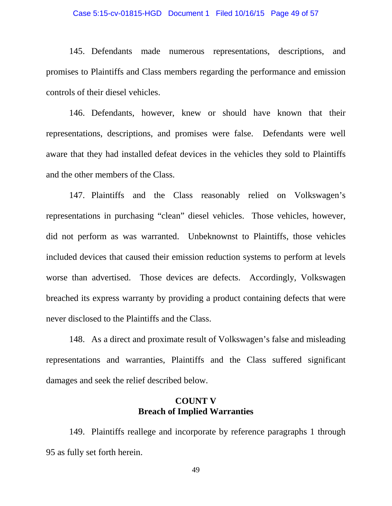### Case 5:15-cv-01815-HGD Document 1 Filed 10/16/15 Page 49 of 57

145. Defendants made numerous representations, descriptions, and promises to Plaintiffs and Class members regarding the performance and emission controls of their diesel vehicles.

146. Defendants, however, knew or should have known that their representations, descriptions, and promises were false. Defendants were well aware that they had installed defeat devices in the vehicles they sold to Plaintiffs and the other members of the Class.

147. Plaintiffs and the Class reasonably relied on Volkswagen's representations in purchasing "clean" diesel vehicles. Those vehicles, however, did not perform as was warranted. Unbeknownst to Plaintiffs, those vehicles included devices that caused their emission reduction systems to perform at levels worse than advertised. Those devices are defects. Accordingly, Volkswagen breached its express warranty by providing a product containing defects that were never disclosed to the Plaintiffs and the Class.

148. As a direct and proximate result of Volkswagen's false and misleading representations and warranties, Plaintiffs and the Class suffered significant damages and seek the relief described below.

## **COUNT V Breach of Implied Warranties**

149. Plaintiffs reallege and incorporate by reference paragraphs 1 through 95 as fully set forth herein.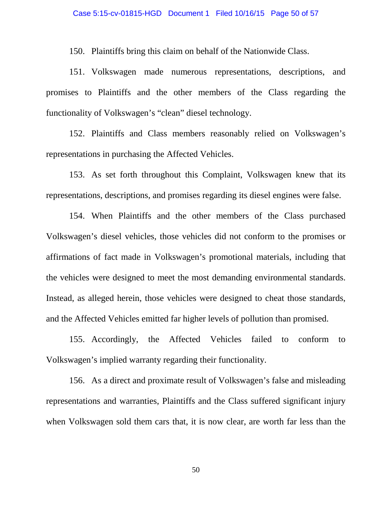150. Plaintiffs bring this claim on behalf of the Nationwide Class.

151. Volkswagen made numerous representations, descriptions, and promises to Plaintiffs and the other members of the Class regarding the functionality of Volkswagen's "clean" diesel technology.

152. Plaintiffs and Class members reasonably relied on Volkswagen's representations in purchasing the Affected Vehicles.

153. As set forth throughout this Complaint, Volkswagen knew that its representations, descriptions, and promises regarding its diesel engines were false.

154. When Plaintiffs and the other members of the Class purchased Volkswagen's diesel vehicles, those vehicles did not conform to the promises or affirmations of fact made in Volkswagen's promotional materials, including that the vehicles were designed to meet the most demanding environmental standards. Instead, as alleged herein, those vehicles were designed to cheat those standards, and the Affected Vehicles emitted far higher levels of pollution than promised.

155. Accordingly, the Affected Vehicles failed to conform to Volkswagen's implied warranty regarding their functionality.

156. As a direct and proximate result of Volkswagen's false and misleading representations and warranties, Plaintiffs and the Class suffered significant injury when Volkswagen sold them cars that, it is now clear, are worth far less than the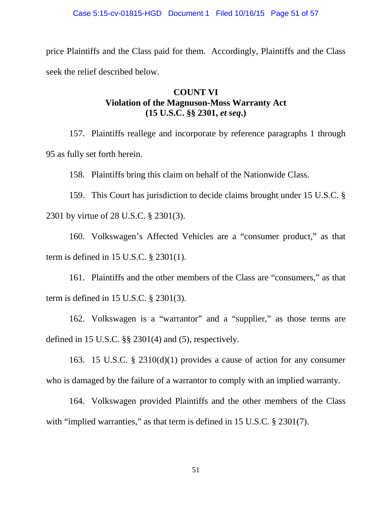price Plaintiffs and the Class paid for them. Accordingly, Plaintiffs and the Class seek the relief described below.

# **COUNT VI Violation of the Magnuson-Moss Warranty Act (15 U.S.C. §§ 2301,** *et seq***.)**

157. Plaintiffs reallege and incorporate by reference paragraphs 1 through 95 as fully set forth herein.

158. Plaintiffs bring this claim on behalf of the Nationwide Class.

159. This Court has jurisdiction to decide claims brought under 15 U.S.C. § 2301 by virtue of 28 U.S.C. § 2301(3).

160. Volkswagen's Affected Vehicles are a "consumer product," as that term is defined in 15 U.S.C. § 2301(1).

161. Plaintiffs and the other members of the Class are "consumers," as that term is defined in 15 U.S.C. § 2301(3).

162. Volkswagen is a "warrantor" and a "supplier," as those terms are defined in 15 U.S.C. §§ 2301(4) and (5), respectively.

163. 15 U.S.C. § 2310(d)(1) provides a cause of action for any consumer who is damaged by the failure of a warrantor to comply with an implied warranty.

164. Volkswagen provided Plaintiffs and the other members of the Class with "implied warranties," as that term is defined in 15 U.S.C. § 2301(7).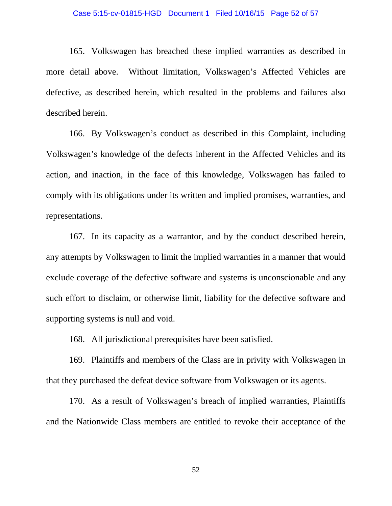### Case 5:15-cv-01815-HGD Document 1 Filed 10/16/15 Page 52 of 57

165. Volkswagen has breached these implied warranties as described in more detail above. Without limitation, Volkswagen's Affected Vehicles are defective, as described herein, which resulted in the problems and failures also described herein.

166. By Volkswagen's conduct as described in this Complaint, including Volkswagen's knowledge of the defects inherent in the Affected Vehicles and its action, and inaction, in the face of this knowledge, Volkswagen has failed to comply with its obligations under its written and implied promises, warranties, and representations.

167. In its capacity as a warrantor, and by the conduct described herein, any attempts by Volkswagen to limit the implied warranties in a manner that would exclude coverage of the defective software and systems is unconscionable and any such effort to disclaim, or otherwise limit, liability for the defective software and supporting systems is null and void.

168. All jurisdictional prerequisites have been satisfied.

169. Plaintiffs and members of the Class are in privity with Volkswagen in that they purchased the defeat device software from Volkswagen or its agents.

170. As a result of Volkswagen's breach of implied warranties, Plaintiffs and the Nationwide Class members are entitled to revoke their acceptance of the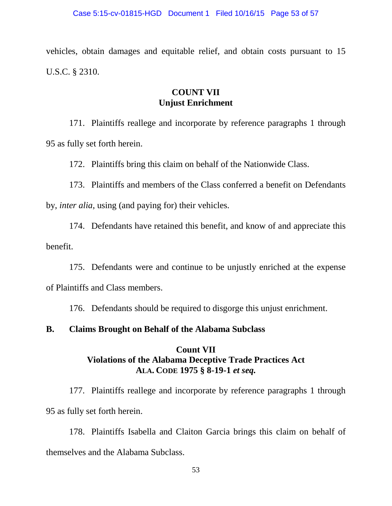vehicles, obtain damages and equitable relief, and obtain costs pursuant to 15 U.S.C. § 2310.

# **COUNT VII Unjust Enrichment**

171. Plaintiffs reallege and incorporate by reference paragraphs 1 through 95 as fully set forth herein.

172. Plaintiffs bring this claim on behalf of the Nationwide Class.

173. Plaintiffs and members of the Class conferred a benefit on Defendants by, *inter alia*, using (and paying for) their vehicles.

174. Defendants have retained this benefit, and know of and appreciate this benefit.

175. Defendants were and continue to be unjustly enriched at the expense of Plaintiffs and Class members.

176. Defendants should be required to disgorge this unjust enrichment.

## **B. Claims Brought on Behalf of the Alabama Subclass**

## **Count VII Violations of the Alabama Deceptive Trade Practices Act ALA. CODE 1975 § 8-19-1** *et seq.*

177. Plaintiffs reallege and incorporate by reference paragraphs 1 through 95 as fully set forth herein.

178. Plaintiffs Isabella and Claiton Garcia brings this claim on behalf of themselves and the Alabama Subclass.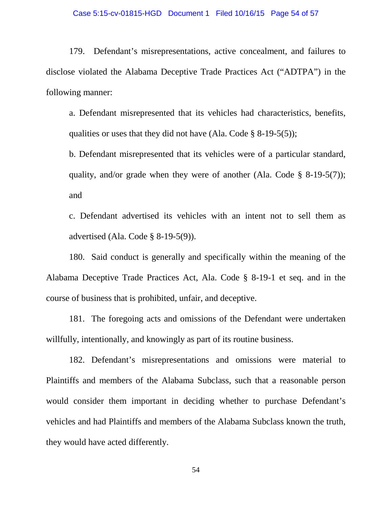### Case 5:15-cv-01815-HGD Document 1 Filed 10/16/15 Page 54 of 57

179. Defendant's misrepresentations, active concealment, and failures to disclose violated the Alabama Deceptive Trade Practices Act ("ADTPA") in the following manner:

a. Defendant misrepresented that its vehicles had characteristics, benefits, qualities or uses that they did not have (Ala. Code  $\S$  8-19-5(5));

b. Defendant misrepresented that its vehicles were of a particular standard, quality, and/or grade when they were of another (Ala. Code  $\S$  8-19-5(7)); and

c. Defendant advertised its vehicles with an intent not to sell them as advertised (Ala. Code § 8-19-5(9)).

180. Said conduct is generally and specifically within the meaning of the Alabama Deceptive Trade Practices Act, Ala. Code § 8-19-1 et seq. and in the course of business that is prohibited, unfair, and deceptive.

181. The foregoing acts and omissions of the Defendant were undertaken willfully, intentionally, and knowingly as part of its routine business.

182. Defendant's misrepresentations and omissions were material to Plaintiffs and members of the Alabama Subclass, such that a reasonable person would consider them important in deciding whether to purchase Defendant's vehicles and had Plaintiffs and members of the Alabama Subclass known the truth, they would have acted differently.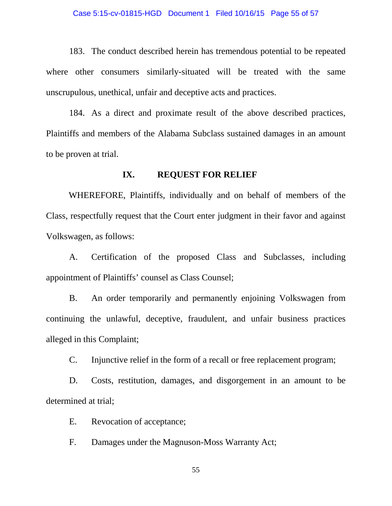### Case 5:15-cv-01815-HGD Document 1 Filed 10/16/15 Page 55 of 57

183. The conduct described herein has tremendous potential to be repeated where other consumers similarly-situated will be treated with the same unscrupulous, unethical, unfair and deceptive acts and practices.

184. As a direct and proximate result of the above described practices, Plaintiffs and members of the Alabama Subclass sustained damages in an amount to be proven at trial.

### **IX. REQUEST FOR RELIEF**

WHEREFORE, Plaintiffs, individually and on behalf of members of the Class, respectfully request that the Court enter judgment in their favor and against Volkswagen, as follows:

A. Certification of the proposed Class and Subclasses, including appointment of Plaintiffs' counsel as Class Counsel;

B. An order temporarily and permanently enjoining Volkswagen from continuing the unlawful, deceptive, fraudulent, and unfair business practices alleged in this Complaint;

C. Injunctive relief in the form of a recall or free replacement program;

D. Costs, restitution, damages, and disgorgement in an amount to be determined at trial;

E. Revocation of acceptance;

F. Damages under the Magnuson-Moss Warranty Act;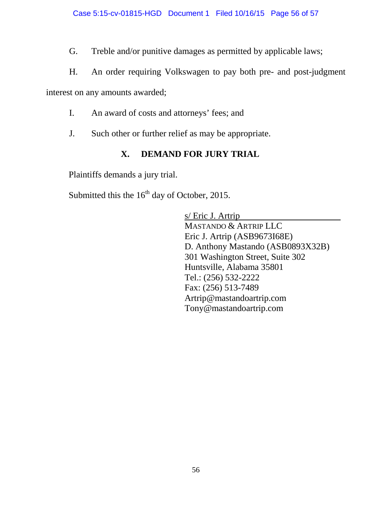G. Treble and/or punitive damages as permitted by applicable laws;

H. An order requiring Volkswagen to pay both pre- and post-judgment

interest on any amounts awarded;

- I. An award of costs and attorneys' fees; and
- J. Such other or further relief as may be appropriate.

# **X. DEMAND FOR JURY TRIAL**

Plaintiffs demands a jury trial.

Submitted this the  $16<sup>th</sup>$  day of October, 2015.

s/ Eric J. Artrip MASTANDO & ARTRIP LLC Eric J. Artrip (ASB9673I68E) D. Anthony Mastando (ASB0893X32B) 301 Washington Street, Suite 302 Huntsville, Alabama 35801 Tel.: (256) 532-2222 Fax: (256) 513-7489 Artrip@mastandoartrip.com Tony@mastandoartrip.com